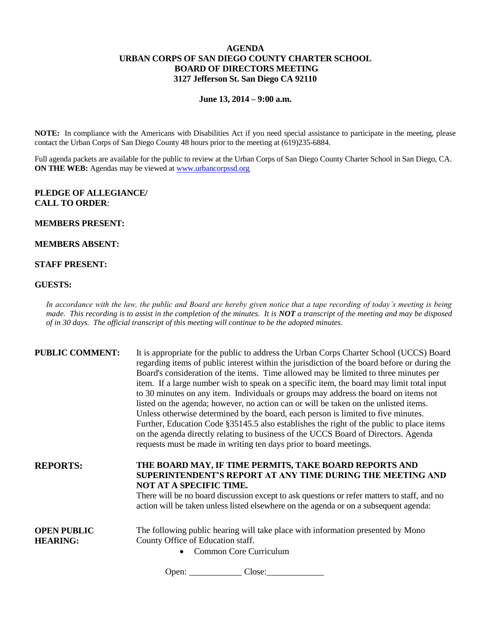# **AGENDA URBAN CORPS OF SAN DIEGO COUNTY CHARTER SCHOOL BOARD OF DIRECTORS MEETING 3127 Jefferson St. San Diego CA 92110**

**June 13, 2014 – 9:00 a.m.**

**NOTE:** In compliance with the Americans with Disabilities Act if you need special assistance to participate in the meeting, please contact the Urban Corps of San Diego County 48 hours prior to the meeting at (619)235-6884.

Full agenda packets are available for the public to review at the Urban Corps of San Diego County Charter School in San Diego, CA. **ON THE WEB:** Agendas may be viewed at [www.urbancorpssd.org](http://www.urbancorpssd.org/)

## **PLEDGE OF ALLEGIANCE/ CALL TO ORDER**:

#### **MEMBERS PRESENT:**

## **MEMBERS ABSENT:**

### **STAFF PRESENT:**

#### **GUESTS:**

*In accordance with the law, the public and Board are hereby given notice that a tape recording of today's meeting is being made. This recording is to assist in the completion of the minutes. It is NOT a transcript of the meeting and may be disposed of in 30 days. The official transcript of this meeting will continue to be the adopted minutes.*

| <b>PUBLIC COMMENT:</b>                | It is appropriate for the public to address the Urban Corps Charter School (UCCS) Board<br>regarding items of public interest within the jurisdiction of the board before or during the<br>Board's consideration of the items. Time allowed may be limited to three minutes per<br>item. If a large number wish to speak on a specific item, the board may limit total input<br>to 30 minutes on any item. Individuals or groups may address the board on items not<br>listed on the agenda; however, no action can or will be taken on the unlisted items.<br>Unless otherwise determined by the board, each person is limited to five minutes.<br>Further, Education Code §35145.5 also establishes the right of the public to place items<br>on the agenda directly relating to business of the UCCS Board of Directors. Agenda<br>requests must be made in writing ten days prior to board meetings. |
|---------------------------------------|----------------------------------------------------------------------------------------------------------------------------------------------------------------------------------------------------------------------------------------------------------------------------------------------------------------------------------------------------------------------------------------------------------------------------------------------------------------------------------------------------------------------------------------------------------------------------------------------------------------------------------------------------------------------------------------------------------------------------------------------------------------------------------------------------------------------------------------------------------------------------------------------------------|
| <b>REPORTS:</b>                       | THE BOARD MAY, IF TIME PERMITS, TAKE BOARD REPORTS AND<br>SUPERINTENDENT'S REPORT AT ANY TIME DURING THE MEETING AND<br>NOT AT A SPECIFIC TIME.<br>There will be no board discussion except to ask questions or refer matters to staff, and no<br>action will be taken unless listed elsewhere on the agenda or on a subsequent agenda:                                                                                                                                                                                                                                                                                                                                                                                                                                                                                                                                                                  |
| <b>OPEN PUBLIC</b><br><b>HEARING:</b> | The following public hearing will take place with information presented by Mono<br>County Office of Education staff.<br><b>Common Core Curriculum</b>                                                                                                                                                                                                                                                                                                                                                                                                                                                                                                                                                                                                                                                                                                                                                    |

Open: \_\_\_\_\_\_\_\_\_\_\_\_ Close:\_\_\_\_\_\_\_\_\_\_\_\_\_